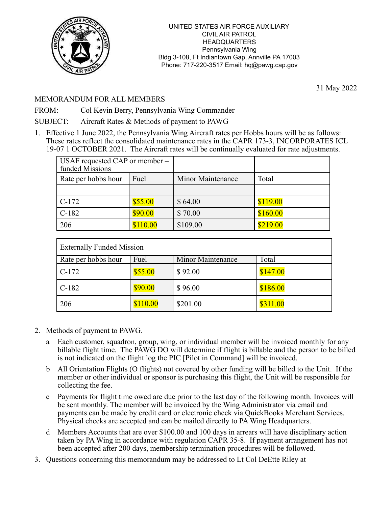

31 May 2022

## MEMORANDUM FOR ALL MEMBERS

FROM: Col Kevin Berry, Pennsylvania Wing Commander

SUBJECT: Aircraft Rates & Methods of payment to PAWG

1. Effective 1 June 2022, the Pennsylvania Wing Aircraft rates per Hobbs hours will be as follows: These rates reflect the consolidated maintenance rates in the CAPR 173-3, INCORPORATES ICL 19-07 1 OCTOBER 2021. The Aircraft rates will be continually evaluated for rate adjustments.

| USAF requested CAP or member –<br>funded Missions |          |                   |          |
|---------------------------------------------------|----------|-------------------|----------|
| Rate per hobbs hour                               | Fuel     | Minor Maintenance | Total    |
|                                                   |          |                   |          |
| $C-172$                                           | \$55.00  | \$64.00           | \$119.00 |
| $C-182$                                           | \$90.00  | \$70.00           | \$160.00 |
| 206                                               | \$110.00 | \$109.00          | \$219.00 |

| <b>Externally Funded Mission</b> |          |                   |          |  |
|----------------------------------|----------|-------------------|----------|--|
| Rate per hobbs hour              | Fuel     | Minor Maintenance | Total    |  |
| $C-172$                          | \$55.00  | \$92.00           | \$147.00 |  |
| $C-182$                          | \$90.00  | \$96.00           | \$186.00 |  |
| 206                              | \$110.00 | \$201.00          | \$311.00 |  |

- 2. Methods of payment to PAWG.
	- a Each customer, squadron, group, wing, or individual member will be invoiced monthly for any billable flight time. The PAWG DO will determine if flight is billable and the person to be billed is not indicated on the flight log the PIC [Pilot in Command] will be invoiced.
	- b All Orientation Flights (O flights) not covered by other funding will be billed to the Unit. If the member or other individual or sponsor is purchasing this flight, the Unit will be responsible for collecting the fee.
	- c Payments for flight time owed are due prior to the last day of the following month. Invoices will be sent monthly. The member will be invoiced by the Wing Administrator via email and payments can be made by credit card or electronic check via QuickBooks Merchant Services. Physical checks are accepted and can be mailed directly to PA Wing Headquarters.
	- d Members Accounts that are over \$100.00 and 100 days in arrears will have disciplinary action taken by PA Wing in accordance with regulation CAPR 35-8. If payment arrangement has not been accepted after 200 days, membership termination procedures will be followed.
- 3. Questions concerning this memorandum may be addressed to Lt Col DeEtte Riley at